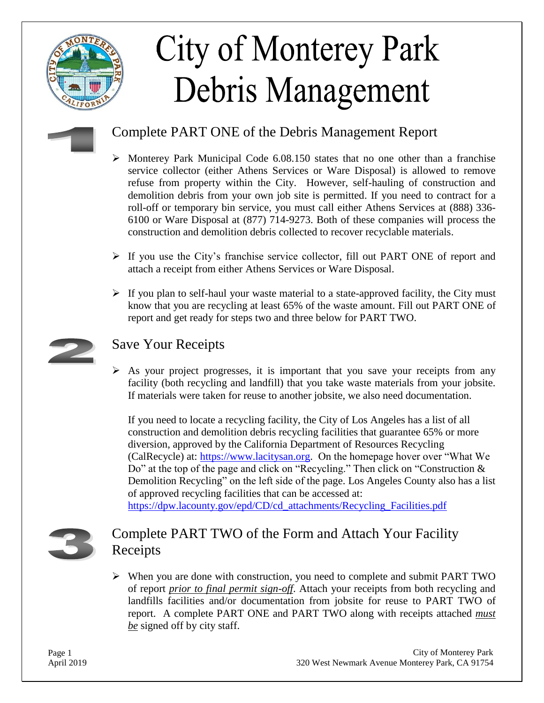

# **City of Monterey Park** Debris Management

## Complete PART ONE of the Debris Management Report

- $\triangleright$  Monterey Park Municipal Code 6.08.150 states that no one other than a franchise service collector (either Athens Services or Ware Disposal) is allowed to remove refuse from property within the City. However, self-hauling of construction and demolition debris from your own job site is permitted. If you need to contract for a roll-off or temporary bin service, you must call either Athens Services at (888) 336- 6100 or Ware Disposal at (877) 714-9273. Both of these companies will process the construction and demolition debris collected to recover recyclable materials.
- $\triangleright$  If you use the City's franchise service collector, fill out PART ONE of report and attach a receipt from either Athens Services or Ware Disposal.
- $\triangleright$  If you plan to self-haul your waste material to a state-approved facility, the City must know that you are recycling at least 65% of the waste amount. Fill out PART ONE of report and get ready for steps two and three below for PART TWO.



### Save Your Receipts

 $\triangleright$  As your project progresses, it is important that you save your receipts from any facility (both recycling and landfill) that you take waste materials from your jobsite. If materials were taken for reuse to another jobsite, we also need documentation.

If you need to locate a recycling facility, the City of Los Angeles has a list of all construction and demolition debris recycling facilities that guarantee 65% or more diversion, approved by the California Department of Resources Recycling (CalRecycle) at: [https://www.lacitysan.org.](https://www.lacitysan.org/san/faces/home/portal/s-lsh-wwd/s-lsh-wwd-s/s-lsh-wwd-s-r/s-lsh-wwd-s-r-cdr?_adf.ctrl-state=122tvx1n15_5&_afrLoop=909177055612561#!) On the homepage hover over "What We Do" at the top of the page and click on "Recycling." Then click on "Construction & Demolition Recycling" on the left side of the page. Los Angeles County also has a list of approved recycling facilities that can be accessed at: [https://dpw.lacounty.gov/epd/CD/cd\\_attachments/Recycling\\_Facilities.pdf](https://dpw.lacounty.gov/epd/CD/cd_attachments/Recycling_Facilities.pdf)

## Complete PART TWO of the Form and Attach Your Facility Receipts

 When you are done with construction, you need to complete and submit PART TWO of report *prior to final permit sign-off*. Attach your receipts from both recycling and landfills facilities and/or documentation from jobsite for reuse to PART TWO of report. A complete PART ONE and PART TWO along with receipts attached *must be* signed off by city staff.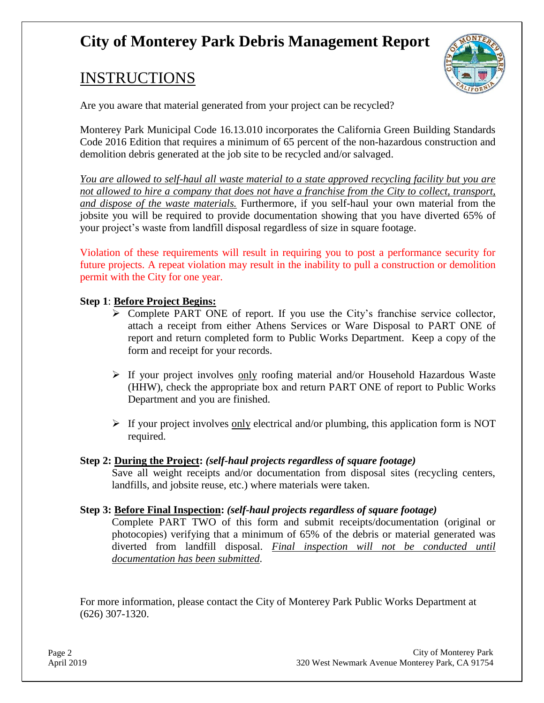# **City of Monterey Park Debris Management Report**

## INSTRUCTIONS



Are you aware that material generated from your project can be recycled?

Monterey Park Municipal Code 16.13.010 incorporates the California Green Building Standards Code 2016 Edition that requires a minimum of 65 percent of the non-hazardous construction and demolition debris generated at the job site to be recycled and/or salvaged.

*You are allowed to self-haul all waste material to a state approved recycling facility but you are not allowed to hire a company that does not have a franchise from the City to collect, transport, and dispose of the waste materials.* Furthermore, if you self-haul your own material from the jobsite you will be required to provide documentation showing that you have diverted 65% of your project's waste from landfill disposal regardless of size in square footage.

Violation of these requirements will result in requiring you to post a performance security for future projects. A repeat violation may result in the inability to pull a construction or demolition permit with the City for one year.

#### **Step 1**: **Before Project Begins:**

- $\triangleright$  Complete PART ONE of report. If you use the City's franchise service collector, attach a receipt from either Athens Services or Ware Disposal to PART ONE of report and return completed form to Public Works Department. Keep a copy of the form and receipt for your records.
- $\triangleright$  If your project involves only roofing material and/or Household Hazardous Waste (HHW), check the appropriate box and return PART ONE of report to Public Works Department and you are finished.
- $\triangleright$  If your project involves <u>only</u> electrical and/or plumbing, this application form is NOT required.

#### **Step 2: During the Project:** *(self-haul projects regardless of square footage)*

Save all weight receipts and/or documentation from disposal sites (recycling centers, landfills, and jobsite reuse, etc.) where materials were taken.

#### **Step 3: Before Final Inspection:** *(self-haul projects regardless of square footage)*

Complete PART TWO of this form and submit receipts/documentation (original or photocopies) verifying that a minimum of 65% of the debris or material generated was diverted from landfill disposal. *Final inspection will not be conducted until documentation has been submitted*.

For more information, please contact the City of Monterey Park Public Works Department at (626) 307-1320.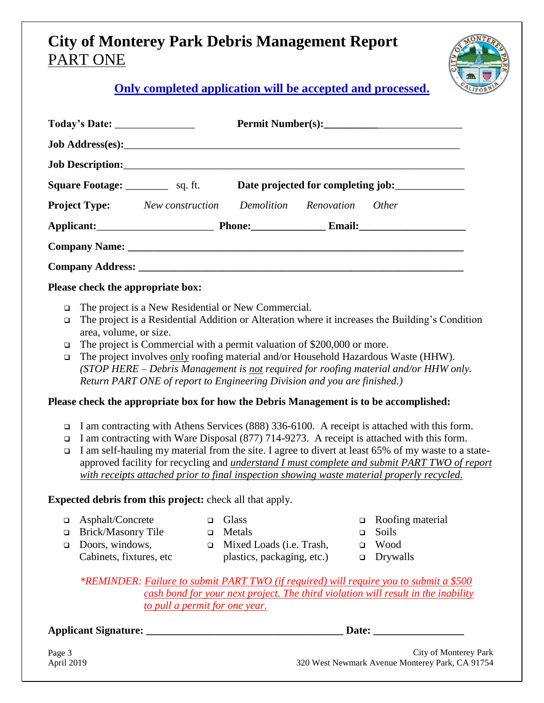# **City of Monterey Park Debris Management Report** PART ONE



**Only completed application will be accepted and processed.**

|                                                                                                                                                                                                                                                                                                                                                                                                                                                                                                                                                                                                                                              |                                                                                                                                                                                                                                                                                                                                                                                                                                                                                                                |                            |                                                                           |                       | Permit Number(s):                                                                                                                       |  |  |  |  |  |
|----------------------------------------------------------------------------------------------------------------------------------------------------------------------------------------------------------------------------------------------------------------------------------------------------------------------------------------------------------------------------------------------------------------------------------------------------------------------------------------------------------------------------------------------------------------------------------------------------------------------------------------------|----------------------------------------------------------------------------------------------------------------------------------------------------------------------------------------------------------------------------------------------------------------------------------------------------------------------------------------------------------------------------------------------------------------------------------------------------------------------------------------------------------------|----------------------------|---------------------------------------------------------------------------|-----------------------|-----------------------------------------------------------------------------------------------------------------------------------------|--|--|--|--|--|
|                                                                                                                                                                                                                                                                                                                                                                                                                                                                                                                                                                                                                                              |                                                                                                                                                                                                                                                                                                                                                                                                                                                                                                                |                            |                                                                           |                       |                                                                                                                                         |  |  |  |  |  |
|                                                                                                                                                                                                                                                                                                                                                                                                                                                                                                                                                                                                                                              |                                                                                                                                                                                                                                                                                                                                                                                                                                                                                                                |                            |                                                                           |                       |                                                                                                                                         |  |  |  |  |  |
| <b>Square Footage:</b> _________________ sq. ft.<br>Date projected for completing job:____________                                                                                                                                                                                                                                                                                                                                                                                                                                                                                                                                           |                                                                                                                                                                                                                                                                                                                                                                                                                                                                                                                |                            |                                                                           |                       |                                                                                                                                         |  |  |  |  |  |
| <b>Project Type:</b> New construction Demolition Renovation                                                                                                                                                                                                                                                                                                                                                                                                                                                                                                                                                                                  |                                                                                                                                                                                                                                                                                                                                                                                                                                                                                                                |                            |                                                                           | Other                 |                                                                                                                                         |  |  |  |  |  |
|                                                                                                                                                                                                                                                                                                                                                                                                                                                                                                                                                                                                                                              |                                                                                                                                                                                                                                                                                                                                                                                                                                                                                                                |                            |                                                                           |                       |                                                                                                                                         |  |  |  |  |  |
|                                                                                                                                                                                                                                                                                                                                                                                                                                                                                                                                                                                                                                              |                                                                                                                                                                                                                                                                                                                                                                                                                                                                                                                |                            | Applicant: Phone: Email: Email:                                           |                       |                                                                                                                                         |  |  |  |  |  |
|                                                                                                                                                                                                                                                                                                                                                                                                                                                                                                                                                                                                                                              |                                                                                                                                                                                                                                                                                                                                                                                                                                                                                                                |                            |                                                                           |                       |                                                                                                                                         |  |  |  |  |  |
|                                                                                                                                                                                                                                                                                                                                                                                                                                                                                                                                                                                                                                              |                                                                                                                                                                                                                                                                                                                                                                                                                                                                                                                |                            |                                                                           |                       |                                                                                                                                         |  |  |  |  |  |
| Please check the appropriate box:                                                                                                                                                                                                                                                                                                                                                                                                                                                                                                                                                                                                            |                                                                                                                                                                                                                                                                                                                                                                                                                                                                                                                |                            |                                                                           |                       |                                                                                                                                         |  |  |  |  |  |
| The project is a New Residential or New Commercial.<br>□<br>The project is a Residential Addition or Alteration where it increases the Building's Condition<br>$\Box$<br>area, volume, or size.<br>The project is Commercial with a permit valuation of \$200,000 or more.<br>□<br>The project involves only roofing material and/or Household Hazardous Waste (HHW).<br>$\Box$<br>(STOP HERE – Debris Management is not required for roofing material and/or HHW only.<br>Return PART ONE of report to Engineering Division and you are finished.)<br>Please check the appropriate box for how the Debris Management is to be accomplished: |                                                                                                                                                                                                                                                                                                                                                                                                                                                                                                                |                            |                                                                           |                       |                                                                                                                                         |  |  |  |  |  |
| $\Box$<br>$\Box$                                                                                                                                                                                                                                                                                                                                                                                                                                                                                                                                                                                                                             | I am contracting with Athens Services (888) 336-6100. A receipt is attached with this form.<br>$\Box$<br>I am contracting with Ware Disposal (877) 714-9273. A receipt is attached with this form.<br>I am self-hauling my material from the site. I agree to divert at least 65% of my waste to a state-<br>approved facility for recycling and <i>understand I must complete and submit PART TWO of report</i><br>with receipts attached prior to final inspection showing waste material properly recycled. |                            |                                                                           |                       |                                                                                                                                         |  |  |  |  |  |
| <b>Expected debris from this project:</b> check all that apply.                                                                                                                                                                                                                                                                                                                                                                                                                                                                                                                                                                              |                                                                                                                                                                                                                                                                                                                                                                                                                                                                                                                |                            |                                                                           |                       |                                                                                                                                         |  |  |  |  |  |
| ▫<br>$\Box$<br>$\Box$                                                                                                                                                                                                                                                                                                                                                                                                                                                                                                                                                                                                                        | Asphalt/Concrete<br>Brick/Masonry Tile<br>Doors, windows,<br>Cabinets, fixtures, etc                                                                                                                                                                                                                                                                                                                                                                                                                           | $\Box$<br>$\Box$<br>$\Box$ | Glass<br>Metals<br>Mixed Loads (i.e. Trash,<br>plastics, packaging, etc.) | □<br>□<br>$\Box$<br>□ | Roofing material<br>Soils<br>Wood<br>Drywalls<br>*REMINDER: Failure to submit PART TWO (if required) will require you to submit a \$500 |  |  |  |  |  |

 *cash bond for your next project. The third violation will result in the inability to pull a permit for one year.*

**Applicant Signature: \_\_\_\_\_\_\_\_\_\_\_\_\_\_\_\_\_\_\_\_\_\_\_\_\_\_\_\_\_\_\_\_\_\_\_\_\_ Date: \_\_\_\_\_\_\_\_\_\_\_\_\_\_\_\_\_**

 City of Monterey Park April 2019 320 West Newmark Avenue Monterey Park, CA 91754

Page 3